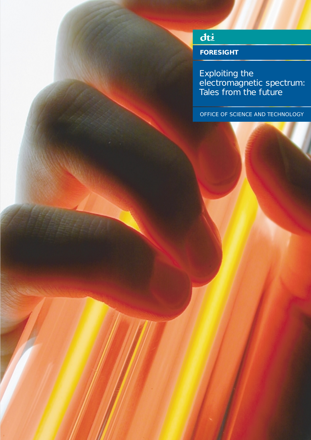## dti

**FORESIGHT**

Exploiting the electromagnetic spectrum: Tales from the future

OFFICE OF SCIENCE AND TECHNOLOGY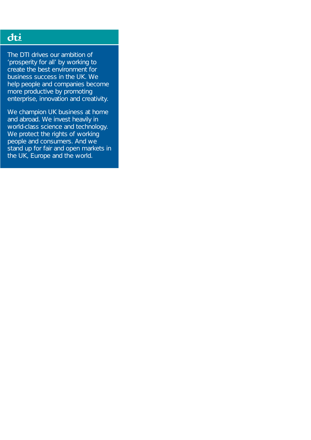### dti

The DTI drives our ambition of 'prosperity for all' by working to create the best environment for business success in the UK. We help people and companies become more productive by promoting enterprise, innovation and creativity.

We champion UK business at home and abroad. We invest heavily in world-class science and technology. We protect the rights of working people and consumers. And we stand up for fair and open markets in the UK, Europe and the world.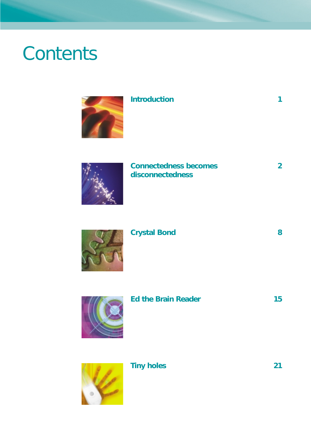# **Contents**



### **Introduction 1**

### **Connectedness becomes 2 disconnectedness**

## **Crystal Bond 8**



### **Ed the Brain Reader 15**



### **Tiny holes** 21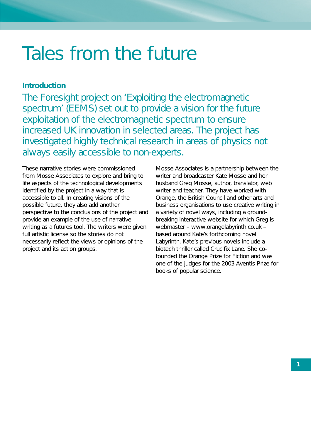## Tales from the future

#### **Introduction**

The Foresight project on 'Exploiting the electromagnetic spectrum' (EEMS) set out to provide a vision for the future exploitation of the electromagnetic spectrum to ensure increased UK innovation in selected areas. The project has investigated highly technical research in areas of physics not always easily accessible to non-experts.

These narrative stories were commissioned from Mosse Associates to explore and bring to life aspects of the technological developments identified by the project in a way that is accessible to all. In creating visions of the possible future, they also add another perspective to the conclusions of the project and provide an example of the use of narrative writing as a futures tool. The writers were given full artistic license so the stories do not necessarily reflect the views or opinions of the project and its action groups.

Mosse Associates is a partnership between the writer and broadcaster Kate Mosse and her husband Greg Mosse, author, translator, web writer and teacher. They have worked with Orange, the British Council and other arts and business organisations to use creative writing in a variety of novel ways, including a groundbreaking interactive website for which Greg is webmaster – www.orangelabyrinth.co.uk – based around Kate's forthcoming novel *Labyrinth*. Kate's previous novels include a biotech thriller called *Crucifix Lane*. She cofounded the Orange Prize for Fiction and was one of the judges for the 2003 Aventis Prize for books of popular science.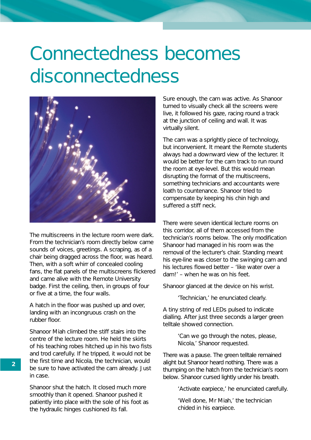# Connectedness becomes disconnectedness



The multiscreens in the lecture room were dark. From the technician's room directly below came sounds of voices, greetings. A scraping, as of a chair being dragged across the floor, was heard. Then, with a soft whirr of concealed cooling fans, the flat panels of the multiscreens flickered and came alive with the Remote University badge. First the ceiling, then, in groups of four or five at a time, the four walls.

A hatch in the floor was pushed up and over, landing with an incongruous crash on the rubber floor.

Shanoor Miah climbed the stiff stairs into the centre of the lecture room. He held the skirts of his teaching robes hitched up in his two fists and trod carefully. If he tripped, it would not be the first time and Nicola, the technician, would be sure to have activated the cam already. Just in case.

Shanoor shut the hatch. It closed much more smoothly than it opened. Shanoor pushed it patiently into place with the sole of his foot as the hydraulic hinges cushioned its fall.

Sure enough, the cam was active. As Shanoor turned to visually check all the screens were live, it followed his gaze, racing round a track at the junction of ceiling and wall. It was virtually silent.

The cam was a sprightly piece of technology, but inconvenient. It meant the Remote students always had a downward view of the lecturer. It would be better for the cam track to run round the room at eye-level. But this would mean disrupting the format of the multiscreens, something technicians and accountants were loath to countenance. Shanoor tried to compensate by keeping his chin high and suffered a stiff neck.

There were seven identical lecture rooms on this corridor, all of them accessed from the technician's rooms below. The only modification Shanoor had managed in his room was the removal of the lecturer's chair. Standing meant his eye-line was closer to the swinging cam and his lectures flowed better – 'like water over a dam!' – when he was on his feet.

Shanoor glanced at the device on his wrist.

'Technician,' he enunciated clearly.

A tiny string of red LEDs pulsed to indicate dialling. After just three seconds a larger green telltale showed connection.

> 'Can we go through the notes, please, Nicola,' Shanoor requested.

There was a pause. The green telltale remained alight but Shanoor heard nothing. There was a thumping on the hatch from the technician's room below. Shanoor cursed lightly under his breath.

'Activate earpiece,' he enunciated carefully.

'Well done, Mr Miah,' the technician chided in his earpiece.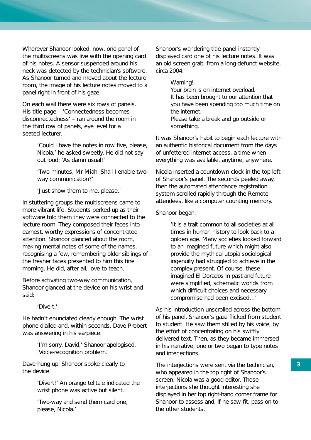Wherever Shanoor looked, now, one panel of the multiscreens was live with the opening card of his notes. A sensor suspended around his neck was detected by the technician's software. As Shanoor turned and moved about the lecture room, the image of his lecture notes moved to a panel right in front of his gaze.

On each wall there were six rows of panels. His title page – 'Connectedness becomes disconnectedness' – ran around the room in the third row of panels, eye level for a seated lecturer.

> 'Could I have the notes in row five, please, Nicola,' he asked sweetly. He did not say out loud: 'As damn usual!'

> 'Two minutes, Mr Miah. Shall I enable twoway communication?'

'Just show them to me, please.'

In stuttering groups the multiscreens came to more vibrant life. Students perked up as their software told them they were connected to the lecture room. They composed their faces into earnest, worthy expressions of concentrated attention. Shanoor glanced about the room, making mental notes of some of the names, recognising a few, remembering older siblings of the fresher faces presented to him this fine morning. He did, after all, love to teach.

Before activating two-way communication, Shanoor glanced at the device on his wrist and said:

'Divert.'

He hadn't enunciated clearly enough. The wrist phone dialled and, within seconds, Dave Probert was answering in his earpiece.

> 'I'm sorry, David,' Shanoor apologised. 'Voice-recognition problem.'

Dave hung up. Shanoor spoke clearly to the device.

> 'Divert!' An orange telltale indicated the wrist phone was active but silent.

'Two-way and send them card one, please, Nicola.'

Shanoor's wandering title panel instantly displayed card one of his lecture notes. It was an old screen grab, from a long-defunct website, circa 2004:

#### *Warning!*

*Your brain is on internet overload. It has been brought to our attention that you have been spending too much time on the internet. Please take a break and go outside or something.*

It was Shanoor's habit to begin each lecture with an authentic historical document from the days of unfettered internet access, a time when everything was available, anytime, anywhere.

Nicola inserted a countdown clock in the top left of Shanoor's panel. The seconds peeled away, then the automated attendance registration system scrolled rapidly through the Remote attendees, like a computer counting memory.

#### Shanoor began:

'It is a trait common to all societies at all times in human history to look back to a golden age. Many societies looked forward to an imagined future which might also provide the mythical utopia sociological ingenuity had struggled to achieve in the complex present. Of course, these imagined El Dorados in past and future were simplified, schematic worlds from which difficult choices and necessary compromise had been excised…'

As his introduction unscrolled across the bottom of his panel, Shanoor's gaze flicked from student to student. He saw them stilled by his voice, by the effort of concentrating on his swiftly delivered text. Then, as they became immersed in his narrative, one or two began to type notes and interjections.

The interjections were sent via the technician, who appeared in the top right of Shanoor's screen. Nicola was a good editor. Those interjections she thought interesting she displayed in her top right-hand corner frame for Shanoor to assess and, if he saw fit, pass on to the other students.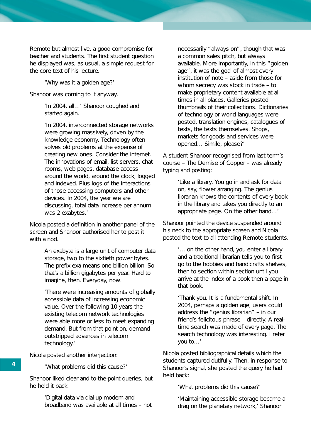Remote but almost live, a good compromise for teacher and students. The first student question he displayed was, as usual, a simple request for the core text of his lecture.

'Why was it a golden age?'

Shanoor was coming to it anyway.

'In 2004, all…' Shanoor coughed and started again.

'In 2004, interconnected storage networks were growing massively, driven by the knowledge economy. Technology often solves old problems at the expense of creating new ones. Consider the internet. The innovations of email, list servers, chat rooms, web pages, database access around the world, around the clock, logged and indexed. Plus logs of the interactions of those accessing computers and other devices. In 2004, the year we are discussing, total data increase per annum was 2 exabytes.'

Nicola posted a definition in another panel of the screen and Shanoor authorised her to post it with a nod.

> *An exabyte is a large unit of computer data storage, two to the sixtieth power bytes. The prefix exa means one billion billion. So that's a billion gigabytes per year. Hard to imagine, then. Everyday, now.*

> 'There were increasing amounts of globally accessible data of increasing economic value. Over the following 10 years the existing telecom network technologies were able more or less to meet expanding demand. But from that point on, demand outstripped advances in telecom technology.'

Nicola posted another interjection:

'What problems did this cause?'

Shanoor liked clear and to-the-point queries, but he held it back.

> 'Digital data via dial-up modem and broadband was available at all times – not

necessarily "always on", though that was a common sales pitch, but always available. More importantly, in this "golden age", it was the goal of almost every institution of note – aside from those for whom secrecy was stock in trade – to make proprietary content available at all times in all places. Galleries posted thumbnails of their collections. Dictionaries of technology or world languages were posted, translation engines, catalogues of texts, the texts themselves. Shops, markets for goods and services were opened… Simile, please?'

A student Shanoor recognised from last term's course – *The Demise of Copper* – was already typing and posting:

> 'Like a library. You go in and ask for data on, say, flower arranging. The genius librarian knows the contents of every book in the library and takes you directly to an appropriate page. On the other hand…'

Shanoor pointed the device suspended around his neck to the appropriate screen and Nicola posted the text to all attending Remote students.

> '… on the other hand, you enter a library and a traditional librarian tells you to first go to the hobbies and handicrafts shelves, then to section within section until you arrive at the index of a book then a page in that book.

'Thank you. It is a fundamental shift. In 2004, perhaps a golden age, users could address the "genius librarian" – in our friend's felicitous phrase – directly. A realtime search was made of every page. The search technology was interesting. I refer you to…'

Nicola posted bibliographical details which the students captured dutifully. Then, in response to Shanoor's signal, she posted the query he had held back:

'What problems did this cause?'

'Maintaining accessible storage became a drag on the planetary network,' Shanoor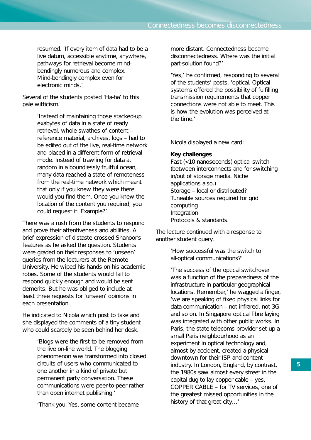resumed. 'If every item of data had to be a live datum, accessible anytime, anywhere, pathways for retrieval become mindbendingly numerous and complex. Mind-bendingly complex even for electronic minds.'

Several of the students posted 'Ha-ha' to this pale witticism.

> 'Instead of maintaining those stacked-up exabytes of data in a state of ready retrieval, whole swathes of content – reference material, archives, logs – had to be edited out of the live, real-time network and placed in a different form of retrieval mode. Instead of trawling for data at random in a boundlessly fruitful ocean, many data reached a state of remoteness from the real-time network which meant that only if you knew they were there would you find them. Once you knew the location of the content you required, you could request it. Example?'

There was a rush from the students to respond and prove their attentiveness and abilities. A brief expression of distaste crossed Shanoor's features as he asked the question. Students were graded on their responses to 'unseen' queries from the lecturers at the Remote University. He wiped his hands on his academic robes. Some of the students would fail to respond quickly enough and would be sent demerits. But he was obliged to include at least three requests for 'unseen' opinions in each presentation.

He indicated to Nicola which post to take and she displayed the comments of a tiny student who could scarcely be seen behind her desk.

> 'Blogs were the first to be removed from the live on-line world. The blogging phenomenon was transformed into closed circuits of users who communicated to one another in a kind of private but permanent party conversation. These communications were peer-to-peer rather than open internet publishing.'

'Thank you. Yes, some content became

more distant. Connectedness became disconnectedness. Where was the initial part-solution found?'

'Yes,' he confirmed, responding to several of the students' posts, 'optical. Optical systems offered the possibility of fulfilling transmission requirements that copper connections were not able to meet. This is how the evolution was perceived at the time.'

Nicola displayed a new card:

#### *Key challenges*

*Fast (<10 nanoseconds) optical switch (between interconnects and for switching in/out of storage media. Niche applications also.) Storage – local or distributed? Tuneable sources required for grid computing Integration Protocols & standards.*

The lecture continued with a response to another student query.

> 'How successful was the switch to all-optical communications?'

'The success of the optical switchover was a function of the preparedness of the infrastructure in particular geographical locations. Remember,' he wagged a finger, 'we are speaking of fixed physical links for data communication – not infrared, not 3G and so on. In Singapore optical fibre laying was integrated with other public works. In Paris, the state telecoms provider set up a small Paris neighbourhood as an experiment in optical technology and, almost by accident, created a physical downtown for their ISP and content industry. In London, England, by contrast, the 1980s saw almost every street in the capital dug to lay copper cable – yes, COPPER CABLE – for TV services, one of the greatest missed opportunities in the history of that great city…'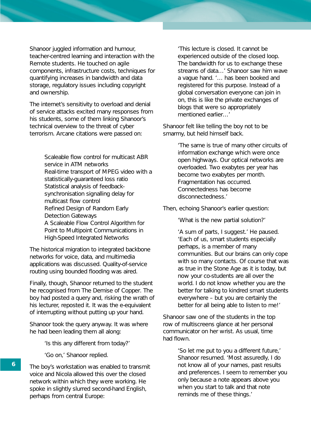Shanoor juggled information and humour, teacher-centred learning and interaction with the Remote students. He touched on agile components, infrastructure costs, techniques for quantifying increases in bandwidth and data storage, regulatory issues including copyright and ownership.

The internet's sensitivity to overload and denial of service attacks excited many responses from his students, some of them linking Shanoor's technical overview to the threat of cyber terrorism. Arcane citations were passed on:

> *Scaleable flow control for multicast ABR service in ATM networks Real-time transport of MPEG video with a statistically-guaranteed loss ratio Statistical analysis of feedbacksynchronisation signalling delay for multicast flow control Refined Design of Random Early Detection Gateways A Scaleable Flow Control Algorithm for Point to Multipoint Communications in High-Speed Integrated Networks*

The historical migration to integrated backbone networks for voice, data, and multimedia applications was discussed. Quality-of-service routing using bounded flooding was aired.

Finally, though, Shanoor returned to the student he recognised from *The Demise of Copper*. The boy had posted a query and, risking the wrath of his lecturer, reposted it. It was the e-equivalent of interrupting without putting up your hand.

Shanoor took the query anyway. It was where he had been leading them all along:

'Is this any different from today?'

'Go on,' Shanoor replied.

The boy's workstation was enabled to transmit voice and Nicola allowed this over the closed network within which they were working. He spoke in slightly slurred second-hand English, perhaps from central Europe:

'This lecture is closed. It cannot be experienced outside of the closed loop. The bandwidth for us to exchange these streams of data…' Shanoor saw him wave a vague hand. '… has been booked and registered for this purpose. Instead of a global conversation everyone can join in on, this is like the private exchanges of blogs that were so appropriately mentioned earlier…'

Shanoor felt like telling the boy not to be smarmy, but held himself back.

> 'The same is true of many other circuits of information exchange which were once open highways. Our optical networks are overloaded. Two exabytes per year has become two exabytes per month. Fragmentation has occurred. Connectedness has become disconnectedness.'

Then, echoing Shanoor's earlier question:

'What is the new partial solution?'

'A sum of parts, I suggest.' He paused. 'Each of us, smart students especially perhaps, is a member of many communities. But our brains can only cope with so many contacts. Of course that was as true in the Stone Age as it is today, but now your co-students are all over the world. I do not know whether you are the better for talking to kindred smart students everywhere – but you are certainly the better for all being able to listen to me!'

Shanoor saw one of the students in the top row of multiscreens glance at her personal communicator on her wrist. As usual, time had flown.

> 'So let me put to you a different future,' Shanoor resumed. 'Most assuredly, I do not know all of your names, past results and preferences. I seem to remember you only because a note appears above you when you start to talk and that note reminds me of these things.'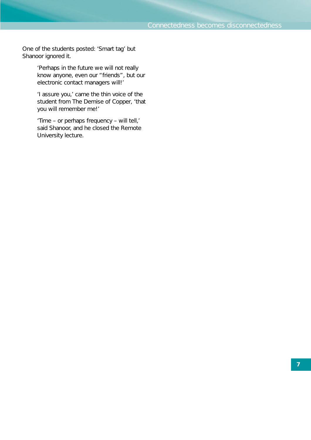One of the students posted: 'Smart tag' but Shanoor ignored it.

> 'Perhaps in the future we will not really know anyone, even our "friends", but our electronic contact managers will!'

> 'I assure you,' came the thin voice of the student from *The Demise of Copper*, 'that you will remember me!'

'Time – or perhaps frequency – will tell,' said Shanoor, and he closed the Remote University lecture.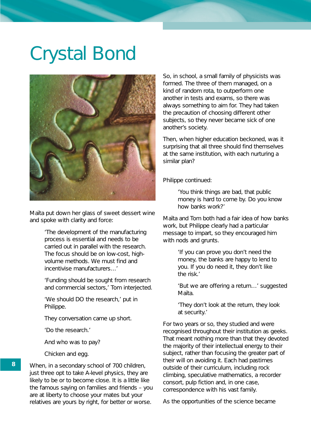## Crystal Bond



Maïta put down her glass of sweet dessert wine and spoke with clarity and force:

> 'The development of the manufacturing process is essential and needs to be carried out in parallel with the research. The focus should be on low-cost, highvolume methods. We must find and incentivise manufacturers…'

'Funding should be sought from research and commercial sectors,' Tom interjected.

'We should DO the research,' put in Philippe.

They conversation came up short.

'Do the research.'

And who was to pay?

Chicken and egg.

When, in a secondary school of 700 children, just three opt to take A-level physics, they are likely to be or to become close. It is a little like the famous saying on families and friends – you are at liberty to choose your mates but your relatives are yours by right, for better or worse.

So, in school, a small family of physicists was formed. The three of them managed, on a kind of random rota, to outperform one another in tests and exams, so there was always something to aim for. They had taken the precaution of choosing different other subjects, so they never became sick of one another's society.

Then, when higher education beckoned, was it surprising that all three should find themselves at the same institution, with each nurturing a similar plan?

Philippe continued:

'You think things are bad, that public money is hard to come by. Do you know how banks work?'

Maïta and Tom both had a fair idea of how banks work, but Philippe clearly had a particular message to impart, so they encouraged him with nods and grunts.

> 'If you can prove you don't need the money, the banks are happy to lend to you. If you do need it, they don't like the risk.'

'But we are offering a return…' suggested Maïta.

'They don't look at the return, they look at security.'

For two years or so, they studied and were recognised throughout their institution as geeks. That meant nothing more than that they devoted the majority of their intellectual energy to their subject, rather than focusing the greater part of their will on avoiding it. Each had pastimes outside of their curriculum, including rock climbing, speculative mathematics, a recorder consort, pulp fiction and, in one case, correspondence with his vast family.

As the opportunities of the science became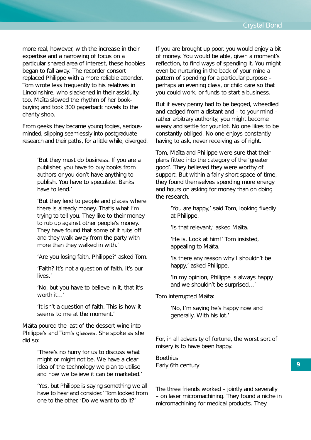more real, however, with the increase in their expertise and a narrowing of focus on a particular shared area of interest, these hobbies began to fall away. The recorder consort replaced Philippe with a more reliable attender. Tom wrote less frequently to his relatives in Lincolnshire, who slackened in their assiduity, too. Maïta slowed the rhythm of her bookbuying and took 300 paperback novels to the charity shop.

From geeks they became young fogies, seriousminded, slipping seamlessly into postgraduate research and their paths, for a little while, diverged.

> 'But they must do business. If you are a publisher, you have to buy books from authors or you don't have anything to publish. You have to speculate. Banks have to lend.'

'But they lend to people and places where there is already money. That's what I'm trying to tell you. They like to their money to rub up against other people's money. They have found that some of it rubs off and they walk away from the party with more than they walked in with.'

'Are you losing faith, Philippe?' asked Tom.

'Faith? It's not a question of faith. It's our lives.'

'No, but you have to believe in it, that it's worth it…'

'It isn't a question of faith. This is how it seems to me at the moment.'

Maïta poured the last of the dessert wine into Philippe's and Tom's glasses. She spoke as she did so:

> 'There's no hurry for us to discuss what might or might not be. We have a clear idea of the technology we plan to utilise and how we believe it can be marketed.'

'Yes, but Philippe is saying something we all have to hear and consider.' Tom looked from one to the other. 'Do we want to do it?'

If you are brought up poor, you would enjoy a bit of money. You would be able, given a moment's reflection, to find ways of spending it. You might even be nurturing in the back of your mind a pattern of spending for a particular purpose – perhaps an evening class, or child care so that you could work, or funds to start a business.

But if every penny had to be begged, wheedled and cadged from a distant and – to your mind – rather arbitrary authority, you might become weary and settle for your lot. No one likes to be constantly obliged. No one enjoys constantly having to ask, never receiving as of right.

Tom, Maïta and Philippe were sure that their plans fitted into the category of the 'greater good'. They believed they were worthy of support. But within a fairly short space of time, they found themselves spending more energy and hours on asking for money than on doing the research.

> 'You are happy,' said Tom, looking fixedly at Philippe.

'Is that relevant,' asked Maïta.

'He is. Look at him!' Tom insisted, appealing to Maïta.

'Is there any reason why I shouldn't be happy,' asked Philippe.

'In my opinion, Philippe is always happy and we shouldn't be surprised…'

Tom interrupted Maïta:

'No, I'm saying he's happy now and generally. With his lot.'

For, in all adversity of fortune, the worst sort of misery is to have been happy.

**Boethius** Early 6th century

The three friends worked – jointly and severally – on laser micromachining. They found a niche in micromachining for medical products. They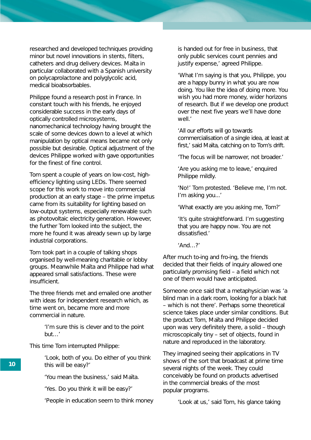researched and developed techniques providing minor but novel innovations in stents, filters, catheters and drug delivery devices. Maïta in particular collaborated with a Spanish university on polycaprolactone and polyglycolic acid, medical bioabsorbables.

Philippe found a research post in France. In constant touch with his friends, he enjoyed considerable success in the early days of optically controlled microsystems, nanomechanical technology having brought the scale of some devices down to a level at which manipulation by optical means became not only possible but desirable. Optical adjustment of the devices Philippe worked with gave opportunities for the finest of fine control.

Tom spent a couple of years on low-cost, highefficiency lighting using LEDs. There seemed scope for this work to move into commercial production at an early stage – the prime impetus came from its suitability for lighting based on low-output systems, especially renewable such as photovoltaic electricity generation. However, the further Tom looked into the subject, the more he found it was already sewn up by large industrial corporations.

Tom took part in a couple of talking shops organised by well-meaning charitable or lobby groups. Meanwhile Maïta and Philippe had what appeared small satisfactions. These were insufficient.

The three friends met and emailed one another with ideas for independent research which, as time went on, became more and more commercial in nature.

> 'I'm sure this is clever and to the point but…'

This time Tom interrupted Philippe:

'Look, both of you. Do either of you think this will be easy?'

'You mean the business,' said Maïta.

'Yes. Do you think it will be easy?'

'People in education seem to think money

is handed out for free in business, that only public services count pennies and justify expense,' agreed Philippe.

'What I'm saying is that you, Philippe, you are a happy bunny in what you are now doing. You like the idea of doing more. You wish you had more money, wider horizons of research. But if we develop one product over the next five years we'll have done well<sup>'</sup>

'All our efforts will go towards commercialisation of a single idea, at least at first,' said Maïta, catching on to Tom's drift.

'The focus will be narrower, not broader.'

'Are you asking me to leave,' enquired Philippe mildly.

'No!' Tom protested. 'Believe me, I'm not. I'm asking you...'

'What exactly are you asking me, Tom?'

'It's quite straightforward. I'm suggesting that you are happy now. You are not dissatisfied.'

'And…?'

After much to-ing and fro-ing, the friends decided that their fields of inquiry allowed one particularly promising field – a field which not one of them would have anticipated.

Someone once said that a metaphysician was 'a blind man in a dark room, looking for a black hat – which is not there'. Perhaps some theoretical science takes place under similar conditions. But the product Tom, Maïta and Philippe decided upon was very definitely there, a solid – though microscopically tiny – set of objects, found in nature and reproduced in the laboratory.

They imagined seeing their applications in TV shows of the sort that broadcast at prime time several nights of the week. They could conceivably be found on products advertised in the commercial breaks of the most popular programs.

'Look at us,' said Tom, his glance taking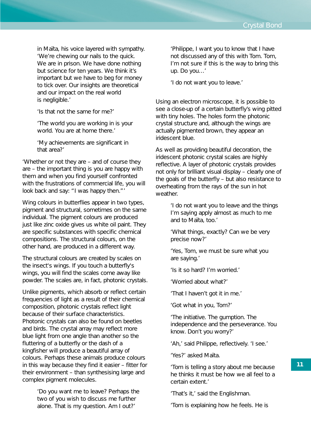in Maïta, his voice layered with sympathy. 'We're chewing our nails to the quick. We are in prison. We have done nothing but science for ten years. We think it's important but we have to beg for money to tick over. Our insights are theoretical and our impact on the real world is negligible.'

'Is that not the same for me?'

'The world you are working in is your world. You are at home there.'

'My achievements are significant in that area?'

'Whether or not they are – and of course they are – the important thing is you are happy with them and when you find yourself confronted with the frustrations of commercial life, you will look back and say: "I was happy then."'

Wing colours in butterflies appear in two types, pigment and structural, sometimes on the same individual. The pigment colours are produced just like zinc oxide gives us white oil paint. They are specific substances with specific chemical compositions. The structural colours, on the other hand, are produced in a different way.

The structural colours are created by scales on the insect's wings. If you touch a butterfly's wings, you will find the scales come away like powder. The scales are, in fact, photonic crystals.

Unlike pigments, which absorb or reflect certain frequencies of light as a result of their chemical composition, photonic crystals reflect light because of their surface characteristics. Photonic crystals can also be found on beetles and birds. The crystal array may reflect more blue light from one angle than another so the fluttering of a butterfly or the dash of a kingfisher will produce a beautiful array of colours. Perhaps these animals produce colours in this way because they find it easier – fitter for their environment – than synthesising large and complex pigment molecules.

> 'Do you want me to leave? Perhaps the two of you wish to discuss me further alone. That is my question. Am I out?'

'Philippe, I want you to know that I have not discussed any of this with Tom. Tom, I'm not sure if this is the way to bring this up. Do you…'

'I do not want you to leave.'

Using an electron microscope, it is possible to see a close-up of a certain butterfly's wing pitted with tiny holes. The holes form the photonic crystal structure and, although the wings are actually pigmented brown, they appear an iridescent blue.

As well as providing beautiful decoration, the iridescent photonic crystal scales are highly reflective. A layer of photonic crystals provides not only for brilliant visual display – clearly one of the goals of the butterfly – but also resistance to overheating from the rays of the sun in hot weather.

> 'I do not want you to leave and the things I'm saying apply almost as much to me and to Maïta, too.'

'What things, exactly? Can we be very precise now?'

'Yes, Tom, we must be sure what you are saying.'

'Is it so hard? I'm worried.'

'Worried about what?'

'That I haven't got it in me.'

'Got what in you, Tom?'

'The initiative. The gumption. The independence and the perseverance. You know. Don't you worry?'

'Ah,' said Philippe, reflectively. 'I see.'

'Yes?' asked Maïta.

'Tom is telling a story about me because he thinks it must be how we all feel to a certain extent.'

'That's it,' said the Englishman.

'Tom is explaining how he feels. He is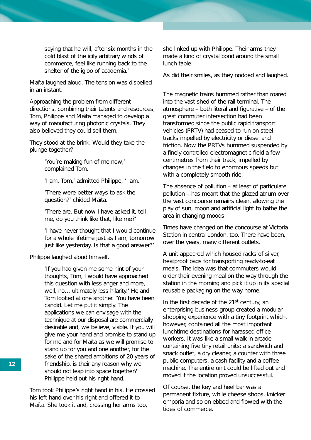saying that he will, after six months in the cold blast of the icily arbitrary winds of commerce, feel like running back to the shelter of the igloo of academia.'

Maïta laughed aloud. The tension was dispelled in an instant.

Approaching the problem from different directions, combining their talents and resources, Tom, Philippe and Maïta managed to develop a way of manufacturing photonic crystals. They also believed they could sell them.

They stood at the brink. Would they take the plunge together?

> 'You're making fun of me now,' complained Tom.

'I am, Tom,' admitted Philippe, 'I am.'

'There were better ways to ask the question?' chided Maïta.

'There are. But now I have asked it, tell me, do you think like that, like me?'

'I have never thought that I would continue for a whole lifetime just as I am, tomorrow just like yesterday. Is that a good answer?'

Philippe laughed aloud himself.

'If you had given me some hint of your thoughts, Tom, I would have approached this question with less anger and more, well, no… ultimately less hilarity.' He and Tom looked at one another. 'You have been candid. Let me put it simply. The applications we can envisage with the technique at our disposal are commercially desirable and, we believe, viable. If you will give me your hand and promise to stand up for me and for Maïta as we will promise to stand up for you and one another, for the sake of the shared ambitions of 20 years of friendship, is their any reason why we should not leap into space together?' Philippe held out his right hand.

Tom took Philippe's right hand in his. He crossed his left hand over his right and offered it to Maïta. She took it and, crossing her arms too,

she linked up with Philippe. Their arms they made a kind of crystal bond around the small lunch table.

As did their smiles, as they nodded and laughed.

The magnetic trains hummed rather than roared into the vast shed of the rail terminal. The atmosphere – both literal and figurative – of the great commuter intersection had been transformed since the public rapid transport vehicles (PRTV) had ceased to run on steel tracks impelled by electricity or diesel and friction. Now the PRTVs hummed suspended by a finely controlled electromagnetic field a few centimetres from their track, impelled by changes in the field to enormous speeds but with a completely smooth ride.

The absence of pollution – at least of particulate pollution – has meant that the glazed atrium over the vast concourse remains clean, allowing the play of sun, moon and artificial light to bathe the area in changing moods.

Times have changed on the concourse at Victoria Station in central London, too. There have been, over the years, many different outlets.

A unit appeared which housed racks of silver, heatproof bags for transporting ready-to-eat meals. The idea was that commuters would order their evening meal on the way through the station in the morning and pick it up in its special reusable packaging on the way home.

In the first decade of the 21<sup>st</sup> century, an enterprising business group created a modular shopping experience with a tiny footprint which, however, contained all the most important lunchtime destinations for harassed office workers. It was like a small walk-in arcade containing five tiny retail units: a sandwich and snack outlet, a dry cleaner, a counter with three public computers, a cash facility and a coffee machine. The entire unit could be lifted out and moved if the location proved unsuccessful.

Of course, the key and heel bar was a permanent fixture, while cheese shops, knicker emporia and so on ebbed and flowed with the tides of commerce.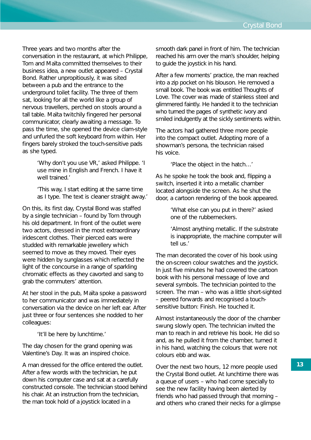Three years and two months after the conversation in the restaurant, at which Philippe, Tom and Maïta committed themselves to their business idea, a new outlet appeared – Crystal Bond. Rather unpropitiously, it was sited between a pub and the entrance to the underground toilet facility. The three of them sat, looking for all the world like a group of nervous travellers, perched on stools around a tall table. Maïta twitchily fingered her personal communicator, clearly awaiting a message. To pass the time, she opened the device clam-style and unfurled the soft keyboard from within. Her fingers barely stroked the touch-sensitive pads as she typed.

> 'Why don't you use VR,' asked Philippe. 'I use mine in English and French. I have it well trained.'

'This way, I start editing at the same time as I type. The text is cleaner straight away.'

On this, its first day, Crystal Bond was staffed by a single technician – found by Tom through his old department. In front of the outlet were two actors, dressed in the most extraordinary iridescent clothes. Their pierced ears were studded with remarkable jewellery which seemed to move as they moved. Their eyes were hidden by sunglasses which reflected the light of the concourse in a range of sparkling chromatic effects as they cavorted and sang to grab the commuters' attention.

At her stool in the pub, Maïta spoke a password to her communicator and was immediately in conversation via the device on her left ear. After just three or four sentences she nodded to her colleagues:

'It'll be here by lunchtime.'

The day chosen for the grand opening was Valentine's Day. It was an inspired choice.

A man dressed for the office entered the outlet. After a few words with the technician, he put down his computer case and sat at a carefully constructed console. The technician stood behind his chair. At an instruction from the technician, the man took hold of a joystick located in a

smooth dark panel in front of him. The technician reached his arm over the man's shoulder, helping to guide the joystick in his hand.

After a few moments' practice, the man reached into a zip pocket on his blouson. He removed a small book. The book was entitled *Thoughts of Love*. The cover was made of stainless steel and glimmered faintly. He handed it to the technician who turned the pages of synthetic ivory and smiled indulgently at the sickly sentiments within.

The actors had gathered three more people into the compact outlet. Adopting more of a showman's persona, the technician raised his voice.

'Place the object in the hatch…'

As he spoke he took the book and, flipping a switch, inserted it into a metallic chamber located alongside the screen. As he shut the door, a cartoon rendering of the book appeared.

> 'What else can you put in there?' asked one of the rubberneckers.

'Almost anything metallic. If the substrate is inappropriate, the machine computer will tell us.'

The man decorated the cover of his book using the on-screen colour swatches and the joystick. In just five minutes he had covered the cartoon book with his personal message of love and several symbols. The technician pointed to the screen. The man – who was a little short-sighted – peered forwards and recognised a touchsensitive button: *Finish*. He touched it.

Almost instantaneously the door of the chamber swung slowly open. The technician invited the man to reach in and retrieve his book. He did so and, as he pulled it from the chamber, turned it in his hand, watching the colours that were not colours ebb and wax.

Over the next two hours, 12 more people used the Crystal Bond outlet. At lunchtime there was a queue of users – who had come specially to see the new facility having been alerted by friends who had passed through that morning – and others who craned their necks for a glimpse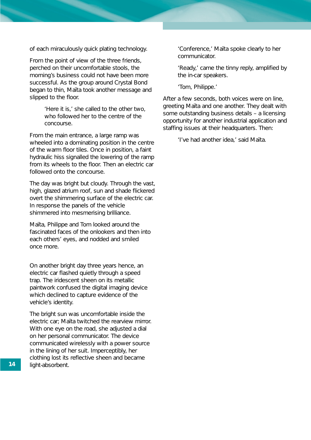of each miraculously quick plating technology.

From the point of view of the three friends, perched on their uncomfortable stools, the morning's business could not have been more successful. As the group around Crystal Bond began to thin, Maïta took another message and slipped to the floor.

> 'Here it is,' she called to the other two, who followed her to the centre of the concourse.

From the main entrance, a large ramp was wheeled into a dominating position in the centre of the warm floor tiles. Once in position, a faint hydraulic hiss signalled the lowering of the ramp from its wheels to the floor. Then an electric car followed onto the concourse.

The day was bright but cloudy. Through the vast, high, glazed atrium roof, sun and shade flickered overt the shimmering surface of the electric car. In response the panels of the vehicle shimmered into mesmerising brilliance.

Maïta, Philippe and Tom looked around the fascinated faces of the onlookers and then into each others' eyes, and nodded and smiled once more.

On another bright day three years hence, an electric car flashed quietly through a speed trap. The iridescent sheen on its metallic paintwork confused the digital imaging device which declined to capture evidence of the vehicle's identity.

The bright sun was uncomfortable inside the electric car; Maïta twitched the rearview mirror. With one eye on the road, she adjusted a dial on her personal communicator. The device communicated wirelessly with a power source in the lining of her suit. Imperceptibly, her clothing lost its reflective sheen and became light-absorbent.

'Conference,' Maïta spoke clearly to her communicator.

'Ready,' came the tinny reply, amplified by the in-car speakers.

'Tom, Philippe.'

After a few seconds, both voices were on line, greeting Maïta and one another. They dealt with some outstanding business details – a licensing opportunity for another industrial application and staffing issues at their headquarters. Then:

'I've had another idea,' said Maïta.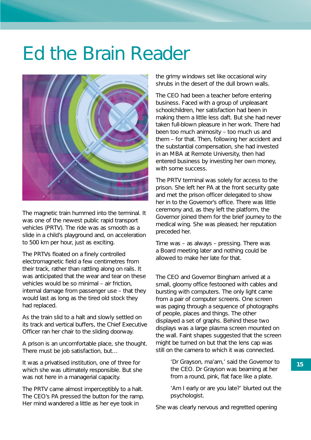## Ed the Brain Reader



The magnetic train hummed into the terminal. It was one of the newest public rapid transport vehicles (PRTV). The ride was as smooth as a slide in a child's playground and, on acceleration to 500 km per hour, just as exciting.

The PRTVs floated on a finely controlled electromagnetic field a few centimetres from their track, rather than rattling along on rails. It was anticipated that the wear and tear on these vehicles would be so minimal – air friction, internal damage from passenger use – that they would last as long as the tired old stock they had replaced.

As the train slid to a halt and slowly settled on its track and vertical buffers, the Chief Executive Officer ran her chair to the sliding doorway.

A prison is an uncomfortable place, she thought. There must be job satisfaction, but…

It was a privatised institution, one of three for which she was ultimately responsible. But she was not here in a managerial capacity.

The PRTV came almost imperceptibly to a halt. The CEO's PA pressed the button for the ramp. Her mind wandered a little as her eye took in

the grimy windows set like occasional wiry shrubs in the desert of the dull brown walls.

The CEO had been a teacher before entering business. Faced with a group of unpleasant schoolchildren, her satisfaction had been in making them a little less daft. But she had never taken full-blown pleasure in her work. There had been too much animosity – too much us and them – for that. Then, following her accident and the substantial compensation, she had invested in an MBA at Remote University, then had entered business by investing her own money, with some success.

The PRTV terminal was solely for access to the prison. She left her PA at the front security gate and met the prison officer delegated to show her in to the Governor's office. There was little ceremony and, as they left the platform, the Governor joined them for the brief journey to the medical wing. She was pleased; her reputation preceded her.

Time was – as always – pressing. There was a Board meeting later and nothing could be allowed to make her late for that.

The CEO and Governor Bingham arrived at a small, gloomy office festooned with cables and bursting with computers. The only light came from a pair of computer screens. One screen was paging through a sequence of photographs of people, places and things. The other displayed a set of graphs. Behind these two displays was a large plasma screen mounted on the wall. Faint shapes suggested that the screen might be turned on but that the lens cap was still on the camera to which it was connected.

> 'Dr Grayson, ma'am,' said the Governor to the CEO. Dr Grayson was beaming at her from a round, pink, flat face like a plate.

'Am I early or are you late?' blurted out the psychologist.

She was clearly nervous and regretted opening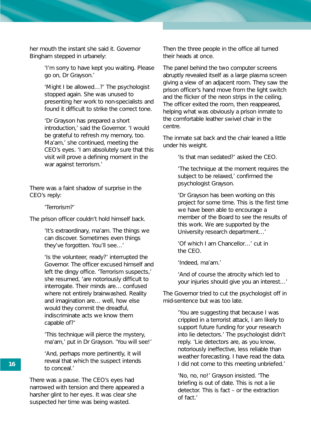her mouth the instant she said it. Governor Bingham stepped in urbanely:

> 'I'm sorry to have kept you waiting. Please go on, Dr Grayson.'

> 'Might I be allowed…?' The psychologist stopped again. She was unused to presenting her work to non-specialists and found it difficult to strike the correct tone.

> 'Dr Grayson has prepared a short introduction,' said the Governor. 'I would be grateful to refresh my memory, too. Ma'am,' she continued, meeting the CEO's eyes. 'I am absolutely sure that this visit will prove a defining moment in the war against terrorism.'

There was a faint shadow of surprise in the CEO's reply:

'Terrorism?'

The prison officer couldn't hold himself back.

'It's extraordinary, ma'am. The things we can discover. Sometimes even things they've forgotten. You'll see…'

'Is the volunteer, ready?' interrupted the Governor. The officer excused himself and left the dingy office. 'Terrorism suspects,' she resumed, 'are notoriously difficult to interrogate. Their minds are… confused where not entirely brainwashed. Reality and imagination are… well, how else would they commit the dreadful, indiscriminate acts we know them capable of?'

'This technique will pierce the mystery, ma'am,' put in Dr Grayson. 'You will see!'

'And, perhaps more pertinently, it will reveal that which the suspect intends to conceal.'

There was a pause. The CEO's eyes had narrowed with tension and there appeared a harsher glint to her eyes. It was clear she suspected her time was being wasted.

Then the three people in the office all turned their heads at once.

The panel behind the two computer screens abruptly revealed itself as a large plasma screen giving a view of an adjacent room. They saw the prison officer's hand move from the light switch and the flicker of the neon strips in the ceiling. The officer exited the room, then reappeared, helping what was obviously a prison inmate to the comfortable leather swivel chair in the centre.

The inmate sat back and the chair leaned a little under his weight.

'Is that man sedated?' asked the CEO.

'The technique at the moment requires the subject to be relaxed,' confirmed the psychologist Grayson.

'Dr Grayson has been working on this project for some time. This is the first time we have been able to encourage a member of the Board to see the results of this work. We are supported by the University research department…'

'Of which I am Chancellor…' cut in the CEO.

'Indeed, ma'am.'

'And of course the atrocity which led to your injuries should give you an interest…'

The Governor tried to cut the psychologist off in mid-sentence but was too late.

> 'You are suggesting that because I was crippled in a terrorist attack, I am likely to support future funding for your research into lie detectors.' The psychologist didn't reply. 'Lie detectors are, as you know, notoriously ineffective, less reliable than weather forecasting. I have read the data. I did not come to this meeting unbriefed.'

'No, no, no!' Grayson insisted. 'The briefing is out of date. This is not a lie detector. This is fact – or the extraction of fact.'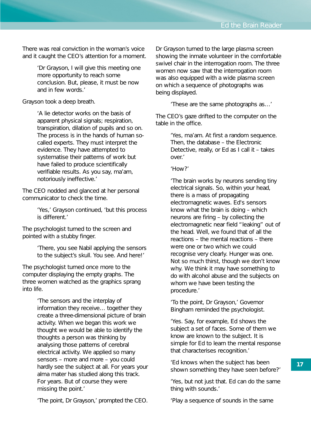There was real conviction in the woman's voice and it caught the CEO's attention for a moment.

> 'Dr Grayson, I will give this meeting one more opportunity to reach some conclusion. But, please, it must be now and in few words.'

Grayson took a deep breath.

'A lie detector works on the basis of apparent physical signals; respiration, transpiration, dilation of pupils and so on. The process is in the hands of human socalled experts. They must interpret the evidence. They have attempted to systematise their patterns of work but have failed to produce scientifically verifiable results. As you say, ma'am, notoriously ineffective.'

The CEO nodded and glanced at her personal communicator to check the time.

> 'Yes,' Grayson continued, 'but this process is different.'

The psychologist turned to the screen and pointed with a stubby finger.

> 'There, you see Nabil applying the sensors to the subject's skull. You see. And here!'

The psychologist turned once more to the computer displaying the empty graphs. The three women watched as the graphics sprang into life.

> 'The sensors and the interplay of information they receive… together they create a three-dimensional picture of brain activity. When we began this work we thought we would be able to identify the thoughts a person was thinking by analysing those patterns of cerebral electrical activity. We applied so many sensors – more and more – you could hardly see the subject at all. For years your alma mater has studied along this track. For years. But of course they were missing the point.'

> 'The point, Dr Grayson,' prompted the CEO.

Dr Grayson turned to the large plasma screen showing the inmate volunteer in the comfortable swivel chair in the interrogation room. The three women now saw that the interrogation room was also equipped with a wide plasma screen on which a sequence of photographs was being displayed.

'These are the same photographs as…'

The CEO's gaze drifted to the computer on the table in the office.

> 'Yes, ma'am. At first a random sequence. Then, the database – the Electronic Detective, really, or Ed as I call it – takes over.'

#### 'How?'

'The brain works by neurons sending tiny electrical signals. So, within your head, there is a mass of propagating electromagnetic waves. Ed's sensors know what the brain is doing – which neurons are firing – by collecting the electromagnetic near field "leaking" out of the head. Well, we found that of all the reactions – the mental reactions – there were one or two which we could recognise very clearly. Hunger was one. Not so much thirst, though we don't know why. We think it may have something to do with alcohol abuse and the subjects on whom we have been testing the procedure.'

'To the point, Dr Grayson,' Governor Bingham reminded the psychologist.

'Yes. Say, for example, Ed shows the subject a set of faces. Some of them we know are known to the subject. It is simple for Ed to learn the mental response that characterises recognition.'

'Ed knows when the subject has been shown something they have seen before?'

'Yes, but not just that. Ed can do the same thing with sounds.'

'Play a sequence of sounds in the same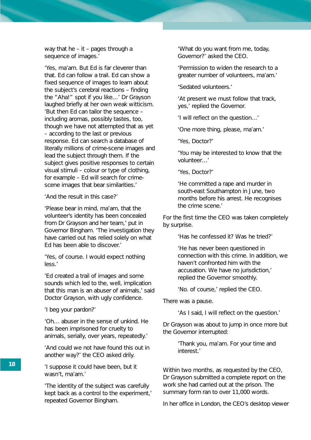way that he – it – pages through a sequence of images.'

'Yes, ma'am. But Ed is far cleverer than that. Ed can follow a trail. Ed can show a fixed sequence of images to learn about the subject's cerebral reactions – finding the "Aha!" spot if you like…' Dr Grayson laughed briefly at her own weak witticism. 'But then Ed can tailor the sequence – including aromas, possibly tastes, too, though we have not attempted that as yet – according to the last or previous response. Ed can search a database of literally millions of crime-scene images and lead the subject through them. If the subject gives positive responses to certain visual stimuli – colour or type of clothing, for example – Ed will search for crimescene images that bear similarities.'

'And the result in this case?'

'Please bear in mind, ma'am, that the volunteer's identity has been concealed from Dr Grayson and her team,' put in Governor Bingham. 'The investigation they have carried out has relied solely on what Ed has been able to discover.'

'Yes, of course. I would expect nothing less.'

'Ed created a trail of images and some sounds which led to the, well, implication that this man is an abuser of animals,' said Doctor Grayson, with ugly confidence.

'I beg your pardon?'

'Oh… abuser in the sense of unkind. He has been imprisoned for cruelty to animals, serially, over years, repeatedly.'

'And could we not have found this out in another way?' the CEO asked drily.

'I suppose it could have been, but it wasn't, ma'am.'

'The identity of the subject was carefully kept back as a control to the experiment,' repeated Governor Bingham.

'What do you want from me, today, Governor?' asked the CEO.

'Permission to widen the research to a greater number of volunteers, ma'am.'

'Sedated volunteers.'

'At present we must follow that track, yes,' replied the Governor.

'I will reflect on the question…'

'One more thing, please, ma'am.'

'Yes, Doctor?'

'You may be interested to know that the volunteer…'

'Yes, Doctor?'

'He committed a rape and murder in south-east Southampton in June, two months before his arrest. He recognises the crime scene.'

For the first time the CEO was taken completely by surprise.

'Has he confessed it? Was he tried?'

'He has never been questioned in connection with this crime. In addition, we haven't confronted him with the accusation. We have no jurisdiction,' replied the Governor smoothly.

'No. of course,' replied the CEO.

There was a pause.

'As I said, I will reflect on the question.'

Dr Grayson was about to jump in once more but the Governor interrupted:

> 'Thank you, ma'am. For your time and interest.'

Within two months, as requested by the CEO, Dr Grayson submitted a complete report on the work she had carried out at the prison. The summary form ran to over 11,000 words.

In her office in London, the CEO's desktop viewer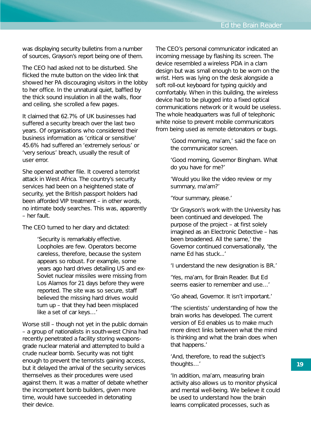was displaying security bulletins from a number of sources, Grayson's report being one of them.

The CEO had asked not to be disturbed. She flicked the mute button on the video link that showed her PA discouraging visitors in the lobby to her office. In the unnatural quiet, baffled by the thick sound insulation in all the walls, floor and ceiling, she scrolled a few pages.

It claimed that 62.7% of UK businesses had suffered a security breach over the last two years. Of organisations who considered their business information as 'critical or sensitive' 45.6% had suffered an 'extremely serious' or 'very serious' breach, usually the result of user error.

She opened another file. It covered a terrorist attack in West Africa. The country's security services had been on a heightened state of security, yet the British passport holders had been afforded VIP treatment – in other words, no intimate body searches. This was, apparently – her fault.

The CEO turned to her diary and dictated:

'Security is remarkably effective. Loopholes are few. Operators become careless, therefore, because the system appears so robust. For example, some years ago hard drives detailing US and ex-Soviet nuclear missiles were missing from Los Alamos for 21 days before they were reported. The site was so secure, staff believed the missing hard drives would turn up – that they had been misplaced like a set of car keys…'

Worse still – though not yet in the public domain – a group of nationalists in south-west China had recently penetrated a facility storing weaponsgrade nuclear material and attempted to build a crude nuclear bomb. Security was not tight enough to prevent the terrorists gaining access, but it delayed the arrival of the security services themselves as their procedures were used against them. It was a matter of debate whether the incompetent bomb builders, given more time, would have succeeded in detonating their device.

The CEO's personal communicator indicated an incoming message by flashing its screen. The device resembled a wireless PDA in a clam design but was small enough to be worn on the wrist. Hers was lying on the desk alongside a soft roll-out keyboard for typing quickly and comfortably. When in this building, the wireless device had to be plugged into a fixed optical communications network or it would be useless. The whole headquarters was full of telephonic white noise to prevent mobile communicators from being used as remote detonators or bugs.

> 'Good morning, ma'am,' said the face on the communicator screen.

'Good morning, Governor Bingham. What do you have for me?'

'Would you like the video review or my summary, ma'am?'

'Your summary, please.'

'Dr Grayson's work with the University has been continued and developed. The purpose of the project – at first solely imagined as an Electronic Detective – has been broadened. All the same,' the Governor continued conversationally, 'the name Ed has stuck...'

'I understand the new designation is BR.'

'Yes, ma'am, for Brain Reader. But Ed seems easier to remember and use  $\blacksquare$ 

'Go ahead, Governor. It isn't important.'

'The scientists' understanding of how the brain works has developed. The current version of Ed enables us to make much more direct links between what the mind is thinking and what the brain does when that happens.'

'And, therefore, to read the subject's thoughts…'

'In addition, ma'am, measuring brain activity also allows us to monitor physical and mental well-being. We believe it could be used to understand how the brain learns complicated processes, such as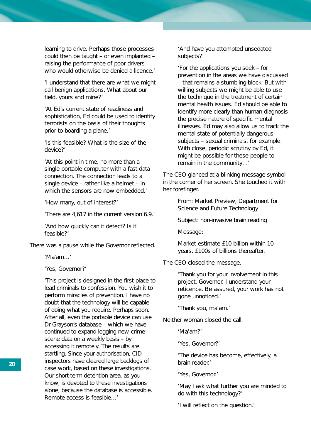learning to drive. Perhaps those processes could then be taught – or even implanted – raising the performance of poor drivers who would otherwise be denied a licence.'

'I understand that there are what we might call benign applications. What about our field, yours and mine?'

'At Ed's current state of readiness and sophistication, Ed could be used to identify terrorists on the basis of their thoughts prior to boarding a plane.'

'Is this feasible? What is the size of the device?'

'At this point in time, no more than a single portable computer with a fast data connection. The connection leads to a single device – rather like a helmet – in which the sensors are now embedded.'

'How many, out of interest?'

'There are 4,617 in the current version 6.9.'

'And how quickly can it detect? Is it feasible?'

There was a pause while the Governor reflected.

'Ma'am…'

'Yes, Governor?'

'This project is designed in the first place to lead criminals to confession. You wish it to perform miracles of prevention. I have no doubt that the technology will be capable of doing what you require. Perhaps soon. After all, even the portable device can use Dr Grayson's database – which we have continued to expand logging new crimescene data on a weekly basis – by accessing it remotely. The results are startling. Since your authorisation, CID inspectors have cleared large backlogs of case work, based on these investigations. Our short-term detention area, as you know, is devoted to these investigations alone, because the database is accessible. Remote access is feasible…'

'And have you attempted unsedated subjects?'

'For the applications you seek – for prevention in the areas we have discussed – that remains a stumbling-block. But with willing subjects we might be able to use the technique in the treatment of certain mental health issues. Ed should be able to identify more clearly than human diagnosis the precise nature of specific mental illnesses. Ed may also allow us to track the mental state of potentially dangerous subjects – sexual criminals, for example. With close, periodic scrutiny by Ed, it might be possible for these people to remain in the community…'

The CEO glanced at a blinking message symbol in the corner of her screen. She touched it with her forefinger.

> *From: Market Preview, Department for Science and Future Technology*

*Subject: non-invasive brain reading*

*Message:*

*Market estimate £10 billion within 10 years. £100s of billions thereafter.*

The CEO closed the message.

'Thank you for your involvement in this project, Governor. I understand your reticence. Be assured, your work has not gone unnoticed.'

'Thank you, ma'am.'

Neither woman closed the call.

'Ma'am?'

'Yes, Governor?'

'The device has become, effectively, a brain reader.'

'Yes, Governor.'

'May I ask what further you are minded to do with this technology?'

'I will reflect on the question.'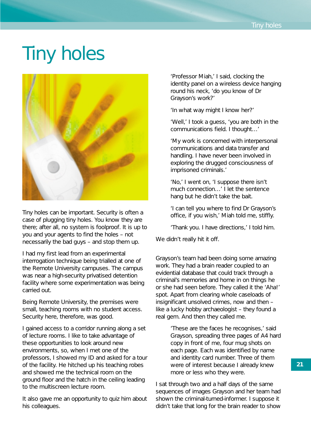# Tiny holes



Tiny holes can be important. Security is often a case of plugging tiny holes. You know they are there; after all, no system is foolproof. It is up to you and your agents to find the holes – not necessarily the bad guys – and stop them up.

I had my first lead from an experimental interrogation technique being trialled at one of the Remote University campuses. The campus was near a high-security privatised detention facility where some experimentation was being carried out.

Being Remote University, the premises were small, teaching rooms with no student access. Security here, therefore, was good.

I gained access to a corridor running along a set of lecture rooms. I like to take advantage of these opportunities to look around new environments, so, when I met one of the professors, I showed my ID and asked for a tour of the facility. He hitched up his teaching robes and showed me the technical room on the ground floor and the hatch in the ceiling leading to the multiscreen lecture room.

It also gave me an opportunity to quiz him about his colleagues.

'Professor Miah,' I said, clocking the identity panel on a wireless device hanging round his neck, 'do you know of Dr Grayson's work?'

'In what way might I know her?'

'Well,' I took a guess, 'you are both in the communications field. I thought…'

'My work is concerned with interpersonal communications and data transfer and handling. I have never been involved in exploring the drugged consciousness of imprisoned criminals.'

'No,' I went on, 'I suppose there isn't much connection…' I let the sentence hang but he didn't take the bait.

'I can tell you where to find Dr Grayson's office, if you wish,' Miah told me, stiffly.

'Thank you. I have directions,' I told him.

We didn't really hit it off.

Grayson's team had been doing some amazing work. They had a brain reader coupled to an evidential database that could track through a criminal's memories and home in on things he or she had seen before. They called it the 'Aha!' spot. Apart from clearing whole caseloads of insignificant unsolved crimes, now and then – like a lucky hobby archaeologist – they found a real gem. And then they called me.

> 'These are the faces he recognises,' said Grayson, spreading three pages of A4 hard copy in front of me, four mug shots on each page. Each was identified by name and identity card number. Three of them were of interest because I already knew more or less who they were.

I sat through two and a half days of the same sequences of images Grayson and her team had shown the criminal-turned-informer. I suppose it didn't take that long for the brain reader to show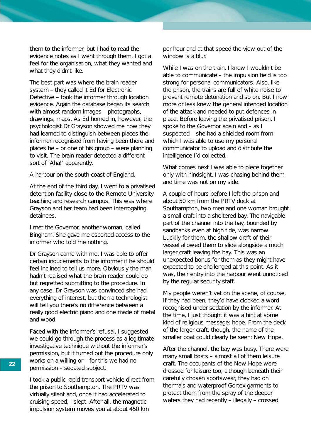them to the informer, but I had to read the evidence notes as I went through them. I got a feel for the organisation, what they wanted and what they didn't like.

The best part was where the brain reader system – they called it Ed for Electronic Detective – took the informer through location evidence. Again the database began its search with almost random images – photographs, drawings, maps. As Ed homed in, however, the psychologist Dr Grayson showed me how they had learned to distinguish between places the informer recognised from having been there and places he – or one of his group – were planning to visit. The brain reader detected a different sort of 'Aha!' apparently.

A harbour on the south coast of England.

At the end of the third day, I went to a privatised detention facility close to the Remote University teaching and research campus. This was where Grayson and her team had been interrogating detainees.

I met the Governor, another woman, called Bingham. She gave me escorted access to the informer who told me nothing.

Dr Grayson came with me. I was able to offer certain inducements to the informer if he should feel inclined to tell us more. Obviously the man hadn't realised what the brain reader could do but regretted submitting to the procedure. In any case, Dr Grayson was convinced she had everything of interest, but then a technologist will tell you there's no difference between a really good electric piano and one made of metal and wood.

Faced with the informer's refusal, I suggested we could go through the process as a legitimate investigative technique without the informer's permission, but it turned out the procedure only works on a willing or – for this we had no permission – sedated subject.

I took a public rapid transport vehicle direct from the prison to Southampton. The PRTV was virtually silent and, once it had accelerated to cruising speed, I slept. After all, the magnetic impulsion system moves you at about 450 km

per hour and at that speed the view out of the window is a blur.

While I was on the train, I knew I wouldn't be able to communicate – the impulsion field is too strong for personal communicators. Also, like the prison, the trains are full of white noise to prevent remote detonation and so on. But I now more or less knew the general intended location of the attack and needed to put defences in place. Before leaving the privatised prison, I spoke to the Governor again and – as I suspected – she had a shielded room from which I was able to use my personal communicator to upload and distribute the intelligence I'd collected.

What comes next I was able to piece together only with hindsight. I was chasing behind them and time was not on my side.

A couple of hours before I left the prison and about 50 km from the PRTV dock at Southampton, two men and one woman brought a small craft into a sheltered bay. The navigable part of the channel into the bay, bounded by sandbanks even at high tide, was narrow. Luckily for them, the shallow draft of their vessel allowed them to slide alongside a much larger craft leaving the bay. This was an unexpected bonus for them as they might have expected to be challenged at this point. As it was, their entry into the harbour went unnoticed by the regular security staff.

My people weren't yet on the scene, of course. If they had been, they'd have clocked a word recognised under sedation by the informer. At the time, I just thought it was a hint at some kind of religious message: hope. From the deck of the larger craft, though, the name of the smaller boat could clearly be seen: *New Hope*.

After the channel, the bay was busy. There were many small boats – almost all of them leisure craft. The occupants of the *New Hope* were dressed for leisure too, although beneath their carefully chosen sportswear, they had on thermals and waterproof Gortex garments to protect them from the spray of the deeper waters they had recently – illegally – crossed.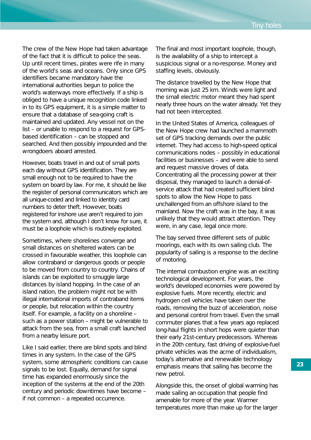The crew of the *New Hope* had taken advantage of the fact that it is difficult to police the seas. Up until recent times, pirates were rife in many of the world's seas and oceans. Only since GPS identifiers became mandatory have the international authorities begun to police the world's waterways more effectively. If a ship is obliged to have a unique recognition code linked in to its GPS equipment, it is a simple matter to ensure that a database of sea-going craft is maintained and updated. Any vessel not on the list – or unable to respond to a request for GPSbased identification – can be stopped and searched. And then possibly impounded and the wrongdoers aboard arrested.

However, boats travel in and out of small ports each day without GPS identification. They are small enough not to be required to have the system on board by law. For me, it should be like the register of personal communicators which are all unique-coded and linked to identity card numbers to deter theft. However, boats registered for inshore use aren't required to join the system and, although I don't know for sure, it must be a loophole which is routinely exploited.

Sometimes, where shorelines converge and small distances on sheltered waters can be crossed in favourable weather, this loophole can allow contraband or dangerous goods or people to be moved from country to country. Chains of islands can be exploited to smuggle large distances by island hopping. In the case of an island nation, the problem might not be with illegal international imports of contraband items or people, but relocation within the country itself. For example, a facility on a shoreline – such as a power station – might be vulnerable to attack from the sea, from a small craft launched from a nearby leisure port.

Like I said earlier, there are blind spots and blind times in any system. In the case of the GPS system, some atmospheric conditions can cause signals to be lost. Equally, demand for signal time has expanded enormously since the inception of the systems at the end of the 20th century and periodic downtimes have become – if not common – a repeated occurrence.

The final and most important loophole, though, is the availability of a ship to intercept a suspicious signal or a no-response. Money and staffing levels, obviously.

The distance travelled by the *New Hope* that morning was just 25 km. Winds were light and the small electric motor meant they had spent nearly three hours on the water already. Yet they had not been intercepted.

In the United States of America, colleagues of the *New Hope* crew had launched a mammoth set of GPS tracking demands over the public internet. They had access to high-speed optical communications nodes – possibly in educational facilities or businesses – and were able to send and request massive droves of data. Concentrating all the processing power at their disposal, they managed to launch a denial-ofservice attack that had created sufficient blind spots to allow the *New Hope* to pass unchallenged from an offshore island to the mainland. Now the craft was in the bay, it was unlikely that they would attract attention. They were, in any case, legal once more.

The bay served three different sets of public moorings, each with its own sailing club. The popularity of sailing is a response to the decline of motoring.

The internal combustion engine was an exciting technological development. For years, the world's developed economies were powered by explosive fuels. More recently, electric and hydrogen cell vehicles have taken over the roads, removing the buzz of acceleration, noise and personal control from travel. Even the small commuter planes that a few years ago replaced long-haul flights in short hops were quieter than their early 21st-century predecessors. Whereas in the 20th century, fast driving of explosive-fuel private vehicles was the acme of individualism, today's alternative and renewable technology emphasis means that sailing has become the new petrol.

Alongside this, the onset of global warming has made sailing an occupation that people find amenable for more of the year. Warmer temperatures more than make up for the larger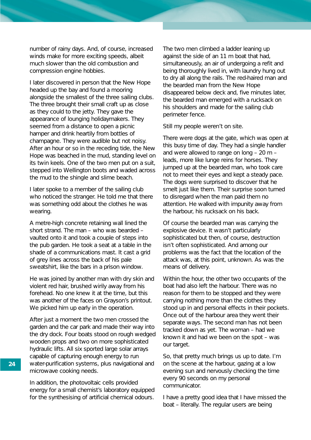number of rainy days. And, of course, increased winds make for more exciting speeds, albeit much slower than the old combustion and compression engine hobbies.

I later discovered in person that the *New Hope* headed up the bay and found a mooring alongside the smallest of the three sailing clubs. The three brought their small craft up as close as they could to the jetty. They gave the appearance of lounging holidaymakers. They seemed from a distance to open a picnic hamper and drink heartily from bottles of champagne. They were audible but not noisy. After an hour or so in the receding tide, the *New Hope* was beached in the mud, standing level on its twin keels. One of the two men put on a suit, stepped into Wellington boots and waded across the mud to the shingle and slime beach.

I later spoke to a member of the sailing club who noticed the stranger. He told me that there was something odd about the clothes he was wearing.

A metre-high concrete retaining wall lined the short strand. The man – who was bearded – vaulted onto it and took a couple of steps into the pub garden. He took a seat at a table in the shade of a communications mast. It cast a grid of grey lines across the back of his pale sweatshirt, like the bars in a prison window.

He was joined by another man with dry skin and violent red hair, brushed wirily away from his forehead. No one knew it at the time, but this was another of the faces on Grayson's printout. We picked him up early in the operation.

After just a moment the two men crossed the garden and the car park and made their way into the dry dock. Four boats stood on rough wedged wooden props and two on more sophisticated hydraulic lifts. All six sported large solar arrays capable of capturing enough energy to run water-purification systems, plus navigational and microwave cooking needs.

In addition, the photovoltaic cells provided energy for a small chemist's laboratory equipped for the synthesising of artificial chemical odours. The two men climbed a ladder leaning up against the side of an 11 m boat that had, simultaneously, an air of undergoing a refit and being thoroughly lived in, with laundry hung out to dry all along the rails. The red-haired man and the bearded man from the *New Hope* disappeared below deck and, five minutes later, the bearded man emerged with a rucksack on his shoulders and made for the sailing club perimeter fence.

Still my people weren't on site.

There were dogs at the gate, which was open at this busy time of day. They had a single handler and were allowed to range on long – 20 m – leads, more like lunge reins for horses. They jumped up at the bearded man, who took care not to meet their eyes and kept a steady pace. The dogs were surprised to discover that he smelt just like them. Their surprise soon turned to disregard when the man paid them no attention. He walked with impunity away from the harbour, his rucksack on his back.

Of course the bearded man was carrying the explosive device. It wasn't particularly sophisticated but then, of course, destruction isn't often sophisticated. And among our problems was the fact that the location of the attack was, at this point, unknown. As was the means of delivery.

Within the hour, the other two occupants of the boat had also left the harbour. There was no reason for them to be stopped and they were carrying nothing more than the clothes they stood up in and personal effects in their pockets. Once out of the harbour area they went their separate ways. The second man has not been tracked down as yet. The woman – had we known it and had we been on the spot – was our target.

So, that pretty much brings us up to date. I'm on the scene at the harbour, gazing at a low evening sun and nervously checking the time every 90 seconds on my personal communicator.

I have a pretty good idea that I have missed the boat – literally. The regular users are being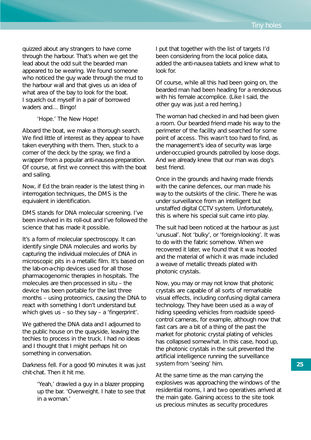quizzed about any strangers to have come through the harbour. That's when we get the lead about the odd suit the bearded man appeared to be wearing. We found someone who noticed the guy wade through the mud to the harbour wall and that gives us an idea of what area of the bay to look for the boat. I squelch out myself in a pair of borrowed waders and… Bingo!

#### '*Hope*.' The *New Hope*!

Aboard the boat, we make a thorough search. We find little of interest as they appear to have taken everything with them. Then, stuck to a corner of the deck by the spray, we find a wrapper from a popular anti-nausea preparation. Of course, at first we connect this with the boat and sailing.

Now, if Ed the brain reader is the latest thing in interrogation techniques, the DMS is the equivalent in identification.

DMS stands for DNA molecular screening. I've been involved in its roll-out and I've followed the science that has made it possible.

It's a form of molecular spectroscopy. It can identify single DNA molecules and works by capturing the individual molecules of DNA in microscopic pits in a metallic film. It's based on the lab-on-a-chip devices used for all those pharmacogenomic therapies in hospitals. The molecules are then processed in situ – the device has been portable for the last three months – using proteomics, causing the DNA to react with something I don't understand but which gives us – so they say – a 'fingerprint'.

We gathered the DNA data and I adjourned to the public house on the quayside, leaving the techies to process in the truck. I had no ideas and I thought that I might perhaps hit on something in conversation.

Darkness fell. For a good 90 minutes it was just chit-chat. Then it hit me.

> 'Yeah,' drawled a guy in a blazer propping up the bar. 'Overweight. I hate to see that in a woman.'

I put that together with the list of targets I'd been considering from the local police data, added the anti-nausea tablets and knew what to look for.

Of course, while all this had been going on, the bearded man had been heading for a rendezvous with his female accomplice. (Like I said, the other guy was just a red herring.)

The woman had checked in and had been given a room. Our bearded friend made his way to the perimeter of the facility and searched for some point of access. This wasn't too hard to find, as the management's idea of security was large under-occupied grounds patrolled by loose dogs. And we already knew that our man was dog's best friend.

Once in the grounds and having made friends with the canine defences, our man made his way to the outskirts of the clinic. There he was under surveillance from an intelligent but unstaffed digital CCTV system. Unfortunately, this is where his special suit came into play.

The suit had been noticed at the harbour as just 'unusual'. Not 'bulky', or 'foreign-looking'. It was to do with the fabric somehow. When we recovered it later, we found that it was hooded and the material of which it was made included a weave of metallic threads plated with photonic crystals.

Now, you may or may not know that photonic crystals are capable of all sorts of remarkable visual effects, including confusing digital camera technology. They have been used as a way of hiding speeding vehicles from roadside speedcontrol cameras, for example, although now that fast cars are a bit of a thing of the past the market for photonic crystal plating of vehicles has collapsed somewhat. In this case, hood up, the photonic crystals in the suit prevented the artificial intelligence running the surveillance system from 'seeing' him.

At the same time as the man carrying the explosives was approaching the windows of the residential rooms, I and two operatives arrived at the main gate. Gaining access to the site took us precious minutes as security procedures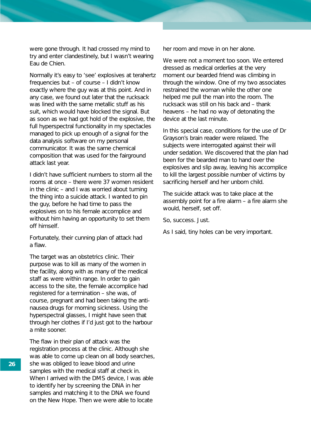were gone through. It had crossed my mind to try and enter clandestinely, but I wasn't wearing Eau de Chien.

Normally it's easy to 'see' explosives at terahertz frequencies but – of course – I didn't know exactly where the guy was at this point. And in any case, we found out later that the rucksack was lined with the same metallic stuff as his suit, which would have blocked the signal. But as soon as we had got hold of the explosive, the full hyperspectral functionality in my spectacles managed to pick up enough of a signal for the data analysis software on my personal communicator. It was the same chemical composition that was used for the fairground attack last year.

I didn't have sufficient numbers to storm all the rooms at once – there were 37 women resident in the clinic – and I was worried about turning the thing into a suicide attack. I wanted to pin the guy, before he had time to pass the explosives on to his female accomplice and without him having an opportunity to set them off himself.

Fortunately, their cunning plan of attack had a flaw.

The target was an obstetrics clinic. Their purpose was to kill as many of the women in the facility, along with as many of the medical staff as were within range. In order to gain access to the site, the female accomplice had registered for a termination – she was, of course, pregnant and had been taking the antinausea drugs for morning sickness. Using the hyperspectral glasses, I might have seen that through her clothes if I'd just got to the harbour a mite sooner.

The flaw in their plan of attack was the registration process at the clinic. Although she was able to come up clean on all body searches, she was obliged to leave blood and urine samples with the medical staff at check in. When I arrived with the DMS device, I was able to identify her by screening the DNA in her samples and matching it to the DNA we found on the *New Hope*. Then we were able to locate

her room and move in on her alone.

We were not a moment too soon. We entered dressed as medical orderlies at the very moment our bearded friend was climbing in through the window. One of my two associates restrained the woman while the other one helped me pull the man into the room. The rucksack was still on his back and – thank heavens – he had no way of detonating the device at the last minute.

In this special case, conditions for the use of Dr Grayson's brain reader were relaxed. The subjects were interrogated against their will under sedation. We discovered that the plan had been for the bearded man to hand over the explosives and slip away, leaving his accomplice to kill the largest possible number of victims by sacrificing herself and her unborn child.

The suicide attack was to take place at the assembly point for a fire alarm – a fire alarm she would, herself, set off.

So, success. Just.

As I said, tiny holes can be very important.